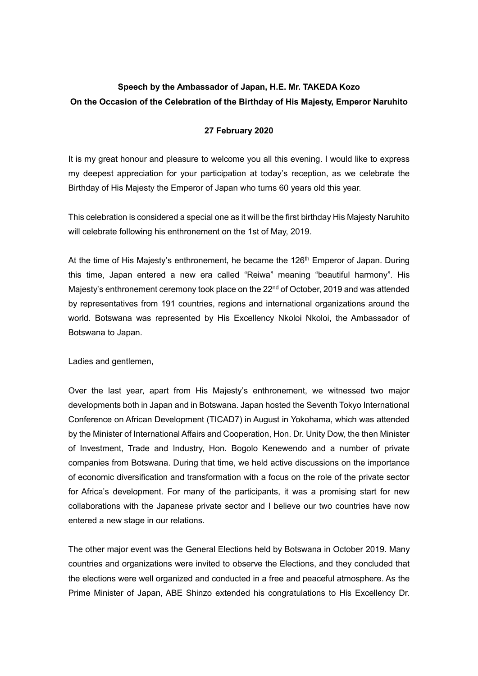## **Speech by the Ambassador of Japan, H.E. Mr. TAKEDA Kozo On the Occasion of the Celebration of the Birthday of His Majesty, Emperor Naruhito**

## **27 February 2020**

It is my great honour and pleasure to welcome you all this evening. I would like to express my deepest appreciation for your participation at today's reception, as we celebrate the Birthday of His Majesty the Emperor of Japan who turns 60 years old this year.

This celebration is considered a special one as it will be the first birthday His Majesty Naruhito will celebrate following his enthronement on the 1st of May, 2019.

At the time of His Majesty's enthronement, he became the 126<sup>th</sup> Emperor of Japan. During this time, Japan entered a new era called "Reiwa" meaning "beautiful harmony". His Majesty's enthronement ceremony took place on the 22<sup>nd</sup> of October, 2019 and was attended by representatives from 191 countries, regions and international organizations around the world. Botswana was represented by His Excellency Nkoloi Nkoloi, the Ambassador of Botswana to Japan.

Ladies and gentlemen,

Over the last year, apart from His Majesty's enthronement, we witnessed two major developments both in Japan and in Botswana. Japan hosted the Seventh Tokyo International Conference on African Development (TICAD7) in August in Yokohama, which was attended by the Minister of International Affairs and Cooperation, Hon. Dr. Unity Dow, the then Minister of Investment, Trade and Industry, Hon. Bogolo Kenewendo and a number of private companies from Botswana. During that time, we held active discussions on the importance of economic diversification and transformation with a focus on the role of the private sector for Africa's development. For many of the participants, it was a promising start for new collaborations with the Japanese private sector and I believe our two countries have now entered a new stage in our relations.

The other major event was the General Elections held by Botswana in October 2019. Many countries and organizations were invited to observe the Elections, and they concluded that the elections were well organized and conducted in a free and peaceful atmosphere. As the Prime Minister of Japan, ABE Shinzo extended his congratulations to His Excellency Dr.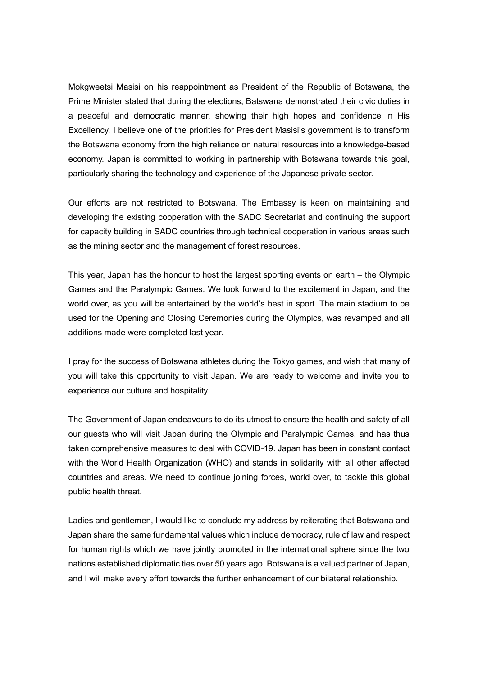Mokgweetsi Masisi on his reappointment as President of the Republic of Botswana, the Prime Minister stated that during the elections, Batswana demonstrated their civic duties in a peaceful and democratic manner, showing their high hopes and confidence in His Excellency. I believe one of the priorities for President Masisi's government is to transform the Botswana economy from the high reliance on natural resources into a knowledge-based economy. Japan is committed to working in partnership with Botswana towards this goal, particularly sharing the technology and experience of the Japanese private sector.

Our efforts are not restricted to Botswana. The Embassy is keen on maintaining and developing the existing cooperation with the SADC Secretariat and continuing the support for capacity building in SADC countries through technical cooperation in various areas such as the mining sector and the management of forest resources.

This year, Japan has the honour to host the largest sporting events on earth – the Olympic Games and the Paralympic Games. We look forward to the excitement in Japan, and the world over, as you will be entertained by the world's best in sport. The main stadium to be used for the Opening and Closing Ceremonies during the Olympics, was revamped and all additions made were completed last year.

I pray for the success of Botswana athletes during the Tokyo games, and wish that many of you will take this opportunity to visit Japan. We are ready to welcome and invite you to experience our culture and hospitality.

The Government of Japan endeavours to do its utmost to ensure the health and safety of all our guests who will visit Japan during the Olympic and Paralympic Games, and has thus taken comprehensive measures to deal with COVID-19. Japan has been in constant contact with the World Health Organization (WHO) and stands in solidarity with all other affected countries and areas. We need to continue joining forces, world over, to tackle this global public health threat.

Ladies and gentlemen, I would like to conclude my address by reiterating that Botswana and Japan share the same fundamental values which include democracy, rule of law and respect for human rights which we have jointly promoted in the international sphere since the two nations established diplomatic ties over 50 years ago. Botswana is a valued partner of Japan, and I will make every effort towards the further enhancement of our bilateral relationship.